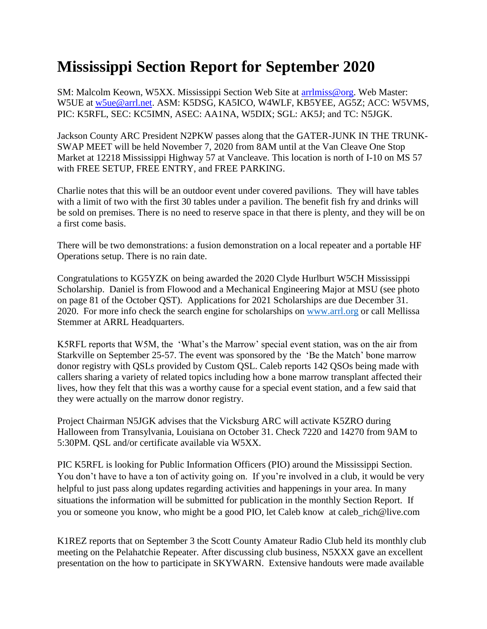## **Mississippi Section Report for September 2020**

SM: Malcolm Keown, W5XX. Mississippi Section Web Site at [arrlmiss@org.](mailto:arrlmiss@org) Web Master: W5UE at [w5ue@arrl.net.](mailto:w5ue@arrl.net) ASM: K5DSG, KA5ICO, W4WLF, KB5YEE, AG5Z; ACC: W5VMS, PIC: K5RFL, SEC: KC5IMN, ASEC: AA1NA, W5DIX; SGL: AK5J; and TC: N5JGK.

Jackson County ARC President N2PKW passes along that the GATER-JUNK IN THE TRUNK-SWAP MEET will be held November 7, 2020 from 8AM until at the Van Cleave One Stop Market at 12218 Mississippi Highway 57 at Vancleave. This location is north of I-10 on MS 57 with FREE SETUP, FREE ENTRY, and FREE PARKING.

Charlie notes that this will be an outdoor event under covered pavilions. They will have tables with a limit of two with the first 30 tables under a pavilion. The benefit fish fry and drinks will be sold on premises. There is no need to reserve space in that there is plenty, and they will be on a first come basis.

There will be two demonstrations: a fusion demonstration on a local repeater and a portable HF Operations setup. There is no rain date.

Congratulations to KG5YZK on being awarded the 2020 Clyde Hurlburt W5CH Mississippi Scholarship. Daniel is from Flowood and a Mechanical Engineering Major at MSU (see photo on page 81 of the October QST). Applications for 2021 Scholarships are due December 31. 2020. For more info check the search engine for scholarships on [www.arrl.org](http://www.arrl.org/) or call Mellissa Stemmer at ARRL Headquarters.

K5RFL reports that W5M, the 'What's the Marrow' special event station, was on the air from Starkville on September 25-57. The event was sponsored by the 'Be the Match' bone marrow donor registry with QSLs provided by Custom QSL. Caleb reports 142 QSOs being made with callers sharing a variety of related topics including how a bone marrow transplant affected their lives, how they felt that this was a worthy cause for a special event station, and a few said that they were actually on the marrow donor registry.

Project Chairman N5JGK advises that the Vicksburg ARC will activate K5ZRO during Halloween from Transylvania, Louisiana on October 31. Check 7220 and 14270 from 9AM to 5:30PM. QSL and/or certificate available via W5XX.

PIC K5RFL is looking for Public Information Officers (PIO) around the Mississippi Section. You don't have to have a ton of activity going on. If you're involved in a club, it would be very helpful to just pass along updates regarding activities and happenings in your area. In many situations the information will be submitted for publication in the monthly Section Report. If you or someone you know, who might be a good PIO, let Caleb know at caleb\_rich@live.com

K1REZ reports that on September 3 the Scott County Amateur Radio Club held its monthly club meeting on the Pelahatchie Repeater. After discussing club business, N5XXX gave an excellent presentation on the how to participate in SKYWARN. Extensive handouts were made available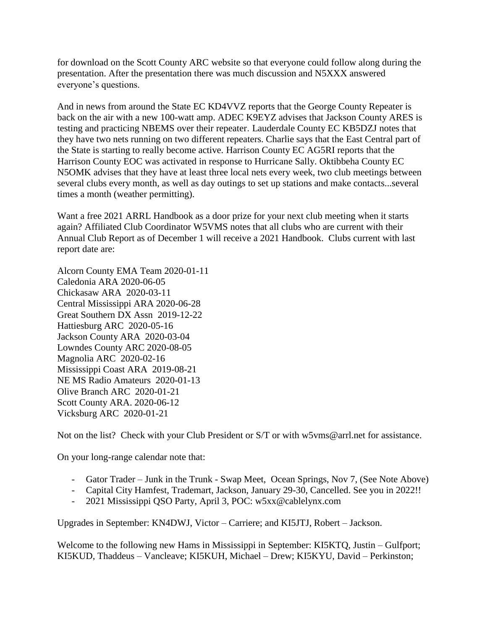for download on the Scott County ARC website so that everyone could follow along during the presentation. After the presentation there was much discussion and N5XXX answered everyone's questions.

And in news from around the State EC KD4VVZ reports that the George County Repeater is back on the air with a new 100-watt amp. ADEC K9EYZ advises that Jackson County ARES is testing and practicing NBEMS over their repeater. Lauderdale County EC KB5DZJ notes that they have two nets running on two different repeaters. Charlie says that the East Central part of the State is starting to really become active. Harrison County EC AG5RI reports that the Harrison County EOC was activated in response to Hurricane Sally. Oktibbeha County EC N5OMK advises that they have at least three local nets every week, two club meetings between several clubs every month, as well as day outings to set up stations and make contacts...several times a month (weather permitting).

Want a free 2021 ARRL Handbook as a door prize for your next club meeting when it starts again? Affiliated Club Coordinator W5VMS notes that all clubs who are current with their Annual Club Report as of December 1 will receive a 2021 Handbook. Clubs current with last report date are:

Alcorn County EMA Team 2020-01-11 Caledonia ARA 2020-06-05 Chickasaw ARA 2020-03-11 Central Mississippi ARA 2020-06-28 Great Southern DX Assn 2019-12-22 Hattiesburg ARC 2020-05-16 Jackson County ARA 2020-03-04 Lowndes County ARC 2020-08-05 Magnolia ARC 2020-02-16 Mississippi Coast ARA 2019-08-21 NE MS Radio Amateurs 2020-01-13 Olive Branch ARC 2020-01-21 Scott County ARA. 2020-06-12 Vicksburg ARC 2020-01-21

Not on the list? Check with your Club President or S/T or with w5vms@arrl.net for assistance.

On your long-range calendar note that:

- Gator Trader Junk in the Trunk Swap Meet, Ocean Springs, Nov 7, (See Note Above)
- Capital City Hamfest, Trademart, Jackson, January 29-30, Cancelled. See you in 2022!!
- 2021 Mississippi QSO Party, April 3, POC: w5xx@cablelynx.com

Upgrades in September: KN4DWJ, Victor – Carriere; and KI5JTJ, Robert – Jackson.

Welcome to the following new Hams in Mississippi in September: KI5KTQ, Justin – Gulfport; KI5KUD, Thaddeus – Vancleave; KI5KUH, Michael – Drew; KI5KYU, David – Perkinston;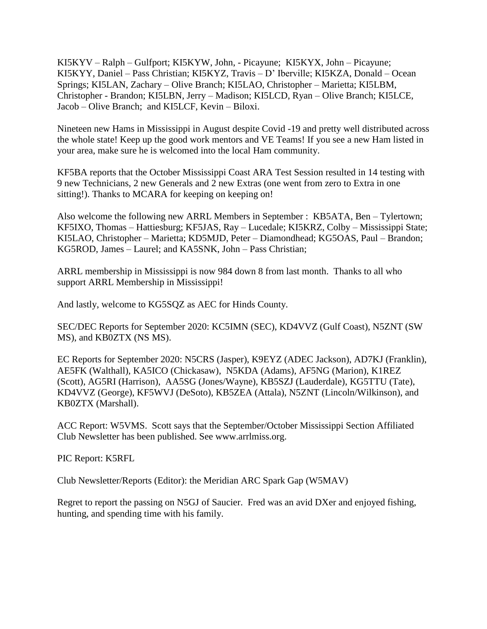KI5KYV – Ralph – Gulfport; KI5KYW, John, - Picayune; KI5KYX, John – Picayune; KI5KYY, Daniel – Pass Christian; KI5KYZ, Travis – D' Iberville; KI5KZA, Donald – Ocean Springs; KI5LAN, Zachary – Olive Branch; KI5LAO, Christopher – Marietta; KI5LBM, Christopher - Brandon; KI5LBN, Jerry – Madison; KI5LCD, Ryan – Olive Branch; KI5LCE, Jacob – Olive Branch; and KI5LCF, Kevin – Biloxi.

Nineteen new Hams in Mississippi in August despite Covid -19 and pretty well distributed across the whole state! Keep up the good work mentors and VE Teams! If you see a new Ham listed in your area, make sure he is welcomed into the local Ham community.

KF5BA reports that the October Mississippi Coast ARA Test Session resulted in 14 testing with 9 new Technicians, 2 new Generals and 2 new Extras (one went from zero to Extra in one sitting!). Thanks to MCARA for keeping on keeping on!

Also welcome the following new ARRL Members in September : KB5ATA, Ben – Tylertown; KF5IXO, Thomas – Hattiesburg; KF5JAS, Ray – Lucedale; KI5KRZ, Colby – Mississippi State; KI5LAO, Christopher – Marietta; KD5MJD, Peter – Diamondhead; KG5OAS, Paul – Brandon; KG5ROD, James – Laurel; and KA5SNK, John – Pass Christian;

ARRL membership in Mississippi is now 984 down 8 from last month. Thanks to all who support ARRL Membership in Mississippi!

And lastly, welcome to KG5SQZ as AEC for Hinds County.

SEC/DEC Reports for September 2020: KC5IMN (SEC), KD4VVZ (Gulf Coast), N5ZNT (SW MS), and KB0ZTX (NS MS).

EC Reports for September 2020: N5CRS (Jasper), K9EYZ (ADEC Jackson), AD7KJ (Franklin), AE5FK (Walthall), KA5ICO (Chickasaw), N5KDA (Adams), AF5NG (Marion), K1REZ (Scott), AG5RI (Harrison), AA5SG (Jones/Wayne), KB5SZJ (Lauderdale), KG5TTU (Tate), KD4VVZ (George), KF5WVJ (DeSoto), KB5ZEA (Attala), N5ZNT (Lincoln/Wilkinson), and KB0ZTX (Marshall).

ACC Report: W5VMS. Scott says that the September/October Mississippi Section Affiliated Club Newsletter has been published. See www.arrlmiss.org.

PIC Report: K5RFL

Club Newsletter/Reports (Editor): the Meridian ARC Spark Gap (W5MAV)

Regret to report the passing on N5GJ of Saucier. Fred was an avid DXer and enjoyed fishing, hunting, and spending time with his family.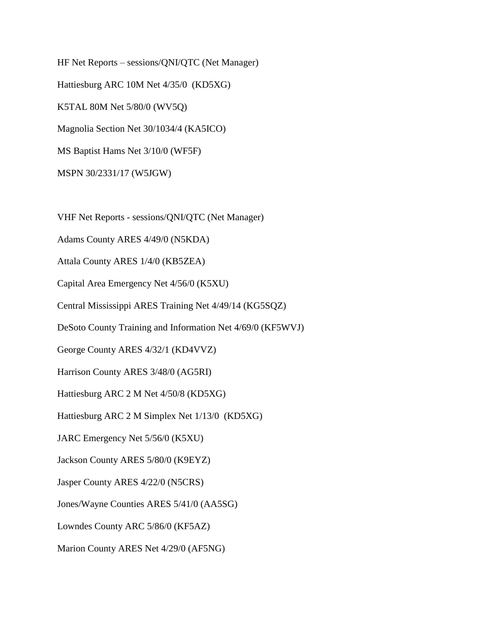HF Net Reports – sessions/QNI/QTC (Net Manager) Hattiesburg ARC 10M Net 4/35/0 (KD5XG) K5TAL 80M Net 5/80/0 (WV5Q) Magnolia Section Net 30/1034/4 (KA5ICO) MS Baptist Hams Net 3/10/0 (WF5F) MSPN 30/2331/17 (W5JGW)

VHF Net Reports - sessions/QNI/QTC (Net Manager) Adams County ARES 4/49/0 (N5KDA) Attala County ARES 1/4/0 (KB5ZEA) Capital Area Emergency Net 4/56/0 (K5XU) Central Mississippi ARES Training Net 4/49/14 (KG5SQZ) DeSoto County Training and Information Net 4/69/0 (KF5WVJ) George County ARES 4/32/1 (KD4VVZ) Harrison County ARES 3/48/0 (AG5RI) Hattiesburg ARC 2 M Net 4/50/8 (KD5XG) Hattiesburg ARC 2 M Simplex Net 1/13/0 (KD5XG) JARC Emergency Net 5/56/0 (K5XU) Jackson County ARES 5/80/0 (K9EYZ) Jasper County ARES 4/22/0 (N5CRS) Jones/Wayne Counties ARES 5/41/0 (AA5SG) Lowndes County ARC 5/86/0 (KF5AZ) Marion County ARES Net 4/29/0 (AF5NG)